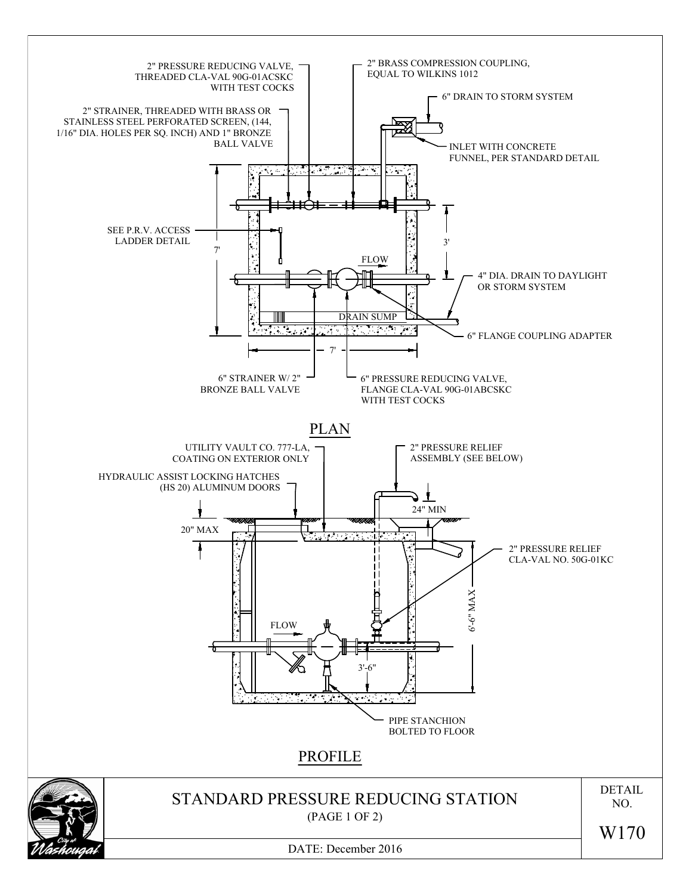